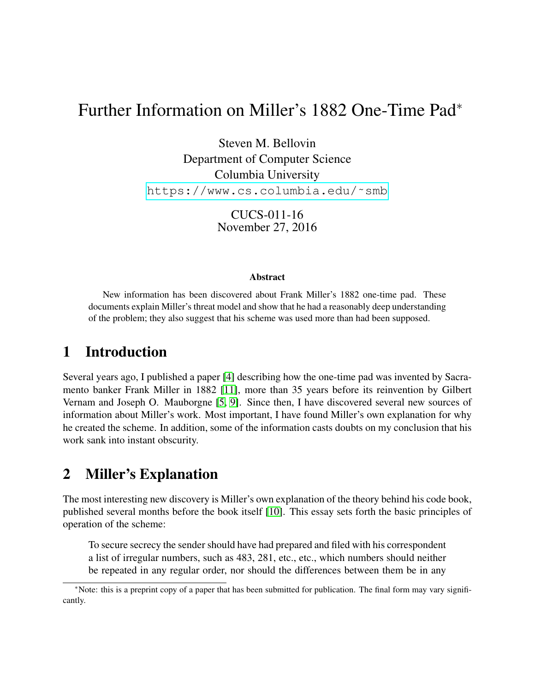# Further Information on Miller's 1882 One-Time Pad<sup>∗</sup>

Steven M. Bellovin Department of Computer Science Columbia University https://www.cs.columbia.edu/~smb

> CUCS-011-16 November 27, 2016

#### Abstract

New information has been discovered about Frank Miller's 1882 one-time pad. These documents explain Miller's threat model and show that he had a reasonably deep understanding of the problem; they also suggest that his scheme was used more than had been supposed.

## 1 Introduction

Several years ago, I published a paper [\[4\]](#page-5-0) describing how the one-time pad was invented by Sacramento banker Frank Miller in 1882 [\[11\]](#page-5-1), more than 35 years before its reinvention by Gilbert Vernam and Joseph O. Mauborgne [\[5,](#page-5-2) [9\]](#page-5-3). Since then, I have discovered several new sources of information about Miller's work. Most important, I have found Miller's own explanation for why he created the scheme. In addition, some of the information casts doubts on my conclusion that his work sank into instant obscurity.

## 2 Miller's Explanation

The most interesting new discovery is Miller's own explanation of the theory behind his code book, published several months before the book itself [\[10\]](#page-5-4). This essay sets forth the basic principles of operation of the scheme:

To secure secrecy the sender should have had prepared and filed with his correspondent a list of irregular numbers, such as 483, 281, etc., etc., which numbers should neither be repeated in any regular order, nor should the differences between them be in any

<sup>∗</sup>Note: this is a preprint copy of a paper that has been submitted for publication. The final form may vary significantly.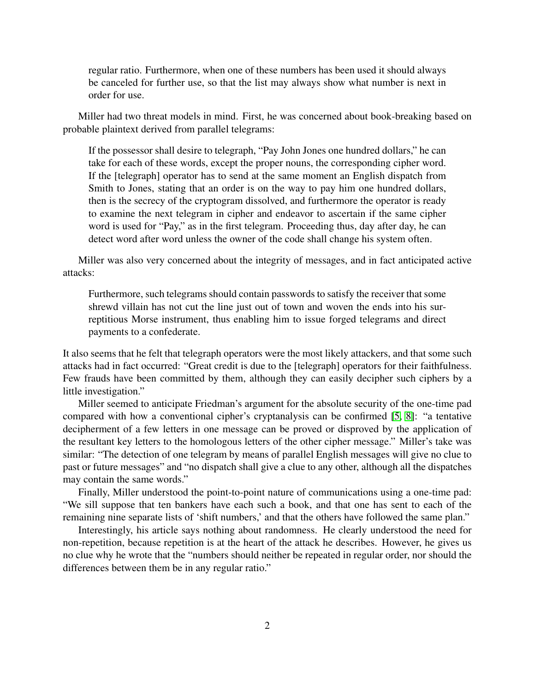regular ratio. Furthermore, when one of these numbers has been used it should always be canceled for further use, so that the list may always show what number is next in order for use.

Miller had two threat models in mind. First, he was concerned about book-breaking based on probable plaintext derived from parallel telegrams:

If the possessor shall desire to telegraph, "Pay John Jones one hundred dollars," he can take for each of these words, except the proper nouns, the corresponding cipher word. If the [telegraph] operator has to send at the same moment an English dispatch from Smith to Jones, stating that an order is on the way to pay him one hundred dollars, then is the secrecy of the cryptogram dissolved, and furthermore the operator is ready to examine the next telegram in cipher and endeavor to ascertain if the same cipher word is used for "Pay," as in the first telegram. Proceeding thus, day after day, he can detect word after word unless the owner of the code shall change his system often.

Miller was also very concerned about the integrity of messages, and in fact anticipated active attacks:

Furthermore, such telegrams should contain passwords to satisfy the receiver that some shrewd villain has not cut the line just out of town and woven the ends into his surreptitious Morse instrument, thus enabling him to issue forged telegrams and direct payments to a confederate.

It also seems that he felt that telegraph operators were the most likely attackers, and that some such attacks had in fact occurred: "Great credit is due to the [telegraph] operators for their faithfulness. Few frauds have been committed by them, although they can easily decipher such ciphers by a little investigation."

Miller seemed to anticipate Friedman's argument for the absolute security of the one-time pad compared with how a conventional cipher's cryptanalysis can be confirmed [\[5,](#page-5-2) [8\]](#page-5-5): "a tentative decipherment of a few letters in one message can be proved or disproved by the application of the resultant key letters to the homologous letters of the other cipher message." Miller's take was similar: "The detection of one telegram by means of parallel English messages will give no clue to past or future messages" and "no dispatch shall give a clue to any other, although all the dispatches may contain the same words."

Finally, Miller understood the point-to-point nature of communications using a one-time pad: "We sill suppose that ten bankers have each such a book, and that one has sent to each of the remaining nine separate lists of 'shift numbers,' and that the others have followed the same plan."

Interestingly, his article says nothing about randomness. He clearly understood the need for non-repetition, because repetition is at the heart of the attack he describes. However, he gives us no clue why he wrote that the "numbers should neither be repeated in regular order, nor should the differences between them be in any regular ratio."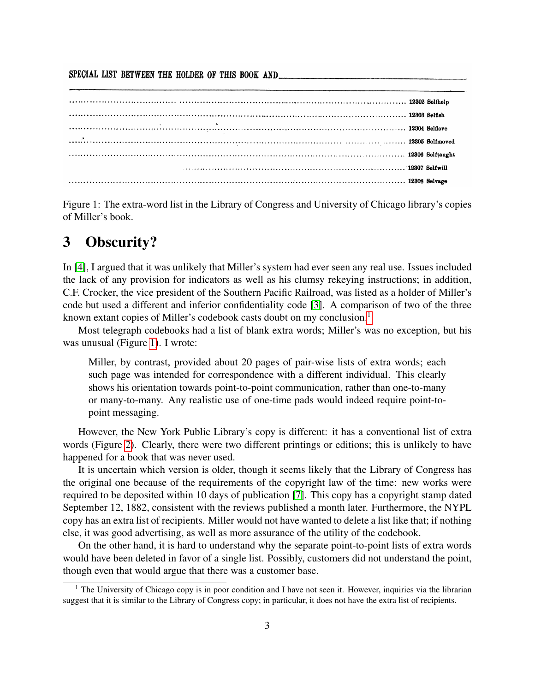SPECIAL LIST BETWEEN THE HOLDER OF THIS BOOK AND

<span id="page-2-1"></span>Figure 1: The extra-word list in the Library of Congress and University of Chicago library's copies of Miller's book.

## 3 Obscurity?

In [\[4\]](#page-5-0), I argued that it was unlikely that Miller's system had ever seen any real use. Issues included the lack of any provision for indicators as well as his clumsy rekeying instructions; in addition, C.F. Crocker, the vice president of the Southern Pacific Railroad, was listed as a holder of Miller's code but used a different and inferior confidentiality code [\[3\]](#page-5-6). A comparison of two of the three known extant copies of Miller's codebook casts doubt on my conclusion.<sup>[1](#page-2-0)</sup>

Most telegraph codebooks had a list of blank extra words; Miller's was no exception, but his was unusual (Figure [1\)](#page-2-1). I wrote:

Miller, by contrast, provided about 20 pages of pair-wise lists of extra words; each such page was intended for correspondence with a different individual. This clearly shows his orientation towards point-to-point communication, rather than one-to-many or many-to-many. Any realistic use of one-time pads would indeed require point-topoint messaging.

However, the New York Public Library's copy is different: it has a conventional list of extra words (Figure [2\)](#page-3-0). Clearly, there were two different printings or editions; this is unlikely to have happened for a book that was never used.

It is uncertain which version is older, though it seems likely that the Library of Congress has the original one because of the requirements of the copyright law of the time: new works were required to be deposited within 10 days of publication [\[7\]](#page-5-7). This copy has a copyright stamp dated September 12, 1882, consistent with the reviews published a month later. Furthermore, the NYPL copy has an extra list of recipients. Miller would not have wanted to delete a list like that; if nothing else, it was good advertising, as well as more assurance of the utility of the codebook.

On the other hand, it is hard to understand why the separate point-to-point lists of extra words would have been deleted in favor of a single list. Possibly, customers did not understand the point, though even that would argue that there was a customer base.

<span id="page-2-0"></span><sup>&</sup>lt;sup>1</sup> The University of Chicago copy is in poor condition and I have not seen it. However, inquiries via the librarian suggest that it is similar to the Library of Congress copy; in particular, it does not have the extra list of recipients.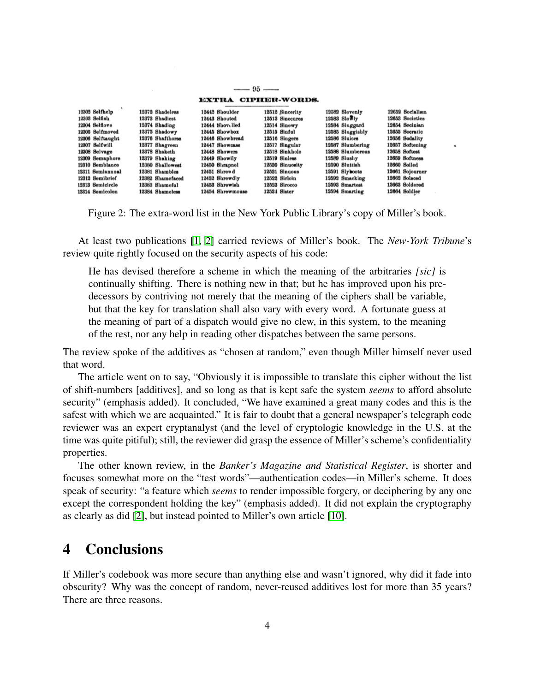|                  |                  | EXTRA CIPHER-WORDS. |                 |                  |                 |
|------------------|------------------|---------------------|-----------------|------------------|-----------------|
|                  |                  |                     |                 |                  |                 |
| 12302 Selfhelp   | 12372 Shadeless  | 12442 Shoulder      | 12512 Sincerity | 12582 Slovenly   | 12652 Socialism |
| 12303 Selfish    | 12373 Shadiest   | 12443 Shouted       | 12513 Sinecures | $12583$ Slowly   | 12653 Societies |
| 12304 Selflove   | 12374 Shading    | 12444 Shovelled     | 12514 Sinewy    | 12584 Sluggard   | 12654 Socinian  |
| 12305 Selfmoved  | 12375 Shadowy    | 12445 Showbox       | 12515 Sinful    | 12585 Sluggishly | 12655 Socratic  |
| 12306 Selftaught | 12376 Shafthorse | 12446 Showbread     | 12516 Singers   | 12586 Sluices    | 12656 Sodality  |
| 12307 Selfwill   | 12377 Shagreen   | 12447 Showcase      | 12517 Singular  | 12587 Slumbering | 12657 Softening |
| 12308 Selvage    | 12378 Shaketh    | 12448 Showers       | 12518 Sinkhole  | 12588 Slumberous | 12658 Softest   |
| 12309 Semaphore  | 12379 Shaking    | 12449 Showily       | 12519 Sinless   | 12589 Slushy     | 12659 Softness  |
| 12310 Semblance  | 12380 Shallowest | 12450 Shrapnel      | 12520 Sinuosity | 12590 Sluttish   | 12660 Soiled    |
| 12311 Semiannual | 12381 Shambles   | 12451 Shrewd        | 12521 Sinuous   | 12591 Slyboots   | 12661 Sojourner |
| 12312 Semibrief  | 12382 Shamefaced | 12452 Shrewdly      | 12522 Sirloin   | 12592 Smacking   | 12662 Solaced   |
| 12313 Semicircle | 12383 Shameful   | 12453 Shrewish      | 12523 Sirocco   | 12593 Smartest   | 12663 Soldered  |
| 12314 Semicolon  | 12384 Shameless  | 12454 Shrewmouse    | 12524 Sister    | 12594 Smarting   | 12664 Soldier   |

 $-$  95  $-$ 

<span id="page-3-0"></span>Figure 2: The extra-word list in the New York Public Library's copy of Miller's book.

At least two publications [\[1,](#page-5-8) [2\]](#page-5-9) carried reviews of Miller's book. The *New-York Tribune*'s review quite rightly focused on the security aspects of his code:

He has devised therefore a scheme in which the meaning of the arbitraries *[sic]* is continually shifting. There is nothing new in that; but he has improved upon his predecessors by contriving not merely that the meaning of the ciphers shall be variable, but that the key for translation shall also vary with every word. A fortunate guess at the meaning of part of a dispatch would give no clew, in this system, to the meaning of the rest, nor any help in reading other dispatches between the same persons.

The review spoke of the additives as "chosen at random," even though Miller himself never used that word.

The article went on to say, "Obviously it is impossible to translate this cipher without the list of shift-numbers [additives], and so long as that is kept safe the system *seems* to afford absolute security" (emphasis added). It concluded, "We have examined a great many codes and this is the safest with which we are acquainted." It is fair to doubt that a general newspaper's telegraph code reviewer was an expert cryptanalyst (and the level of cryptologic knowledge in the U.S. at the time was quite pitiful); still, the reviewer did grasp the essence of Miller's scheme's confidentiality properties.

The other known review, in the *Banker's Magazine and Statistical Register*, is shorter and focuses somewhat more on the "test words"—authentication codes—in Miller's scheme. It does speak of security: "a feature which *seems* to render impossible forgery, or deciphering by any one except the correspondent holding the key" (emphasis added). It did not explain the cryptography as clearly as did [\[2\]](#page-5-9), but instead pointed to Miller's own article [\[10\]](#page-5-4).

## 4 Conclusions

If Miller's codebook was more secure than anything else and wasn't ignored, why did it fade into obscurity? Why was the concept of random, never-reused additives lost for more than 35 years? There are three reasons.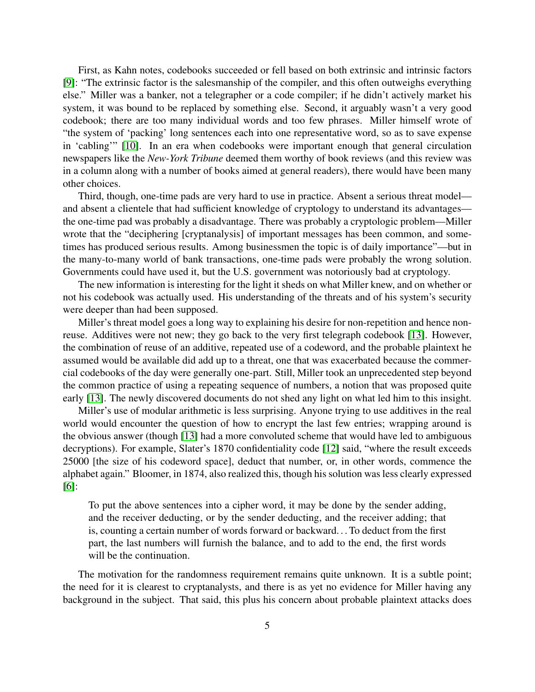First, as Kahn notes, codebooks succeeded or fell based on both extrinsic and intrinsic factors [\[9\]](#page-5-3): "The extrinsic factor is the salesmanship of the compiler, and this often outweighs everything else." Miller was a banker, not a telegrapher or a code compiler; if he didn't actively market his system, it was bound to be replaced by something else. Second, it arguably wasn't a very good codebook; there are too many individual words and too few phrases. Miller himself wrote of "the system of 'packing' long sentences each into one representative word, so as to save expense in 'cabling'" [\[10\]](#page-5-4). In an era when codebooks were important enough that general circulation newspapers like the *New-York Tribune* deemed them worthy of book reviews (and this review was in a column along with a number of books aimed at general readers), there would have been many other choices.

Third, though, one-time pads are very hard to use in practice. Absent a serious threat model and absent a clientele that had sufficient knowledge of cryptology to understand its advantages the one-time pad was probably a disadvantage. There was probably a cryptologic problem—Miller wrote that the "deciphering [cryptanalysis] of important messages has been common, and sometimes has produced serious results. Among businessmen the topic is of daily importance"—but in the many-to-many world of bank transactions, one-time pads were probably the wrong solution. Governments could have used it, but the U.S. government was notoriously bad at cryptology.

The new information is interesting for the light it sheds on what Miller knew, and on whether or not his codebook was actually used. His understanding of the threats and of his system's security were deeper than had been supposed.

Miller's threat model goes a long way to explaining his desire for non-repetition and hence nonreuse. Additives were not new; they go back to the very first telegraph codebook [\[13\]](#page-6-0). However, the combination of reuse of an additive, repeated use of a codeword, and the probable plaintext he assumed would be available did add up to a threat, one that was exacerbated because the commercial codebooks of the day were generally one-part. Still, Miller took an unprecedented step beyond the common practice of using a repeating sequence of numbers, a notion that was proposed quite early [\[13\]](#page-6-0). The newly discovered documents do not shed any light on what led him to this insight.

Miller's use of modular arithmetic is less surprising. Anyone trying to use additives in the real world would encounter the question of how to encrypt the last few entries; wrapping around is the obvious answer (though [\[13\]](#page-6-0) had a more convoluted scheme that would have led to ambiguous decryptions). For example, Slater's 1870 confidentiality code [\[12\]](#page-6-1) said, "where the result exceeds 25000 [the size of his codeword space], deduct that number, or, in other words, commence the alphabet again." Bloomer, in 1874, also realized this, though his solution was less clearly expressed [\[6\]](#page-5-10):

To put the above sentences into a cipher word, it may be done by the sender adding, and the receiver deducting, or by the sender deducting, and the receiver adding; that is, counting a certain number of words forward or backward. . . To deduct from the first part, the last numbers will furnish the balance, and to add to the end, the first words will be the continuation.

The motivation for the randomness requirement remains quite unknown. It is a subtle point; the need for it is clearest to cryptanalysts, and there is as yet no evidence for Miller having any background in the subject. That said, this plus his concern about probable plaintext attacks does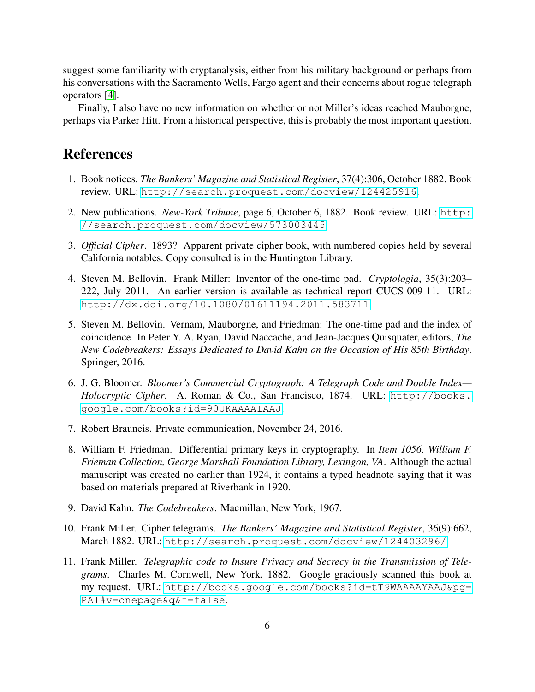suggest some familiarity with cryptanalysis, either from his military background or perhaps from his conversations with the Sacramento Wells, Fargo agent and their concerns about rogue telegraph operators [\[4\]](#page-5-0).

Finally, I also have no new information on whether or not Miller's ideas reached Mauborgne, perhaps via Parker Hitt. From a historical perspective, this is probably the most important question.

### References

- <span id="page-5-8"></span>1. Book notices. *The Bankers' Magazine and Statistical Register*, 37(4):306, October 1882. Book review. URL: <http://search.proquest.com/docview/124425916>.
- <span id="page-5-9"></span>2. New publications. *New-York Tribune*, page 6, October 6, 1882. Book review. URL: [http:](http://search.proquest.com/docview/573003445) [//search.proquest.com/docview/573003445](http://search.proquest.com/docview/573003445).
- <span id="page-5-6"></span>3. *Official Cipher*. 1893? Apparent private cipher book, with numbered copies held by several California notables. Copy consulted is in the Huntington Library.
- <span id="page-5-0"></span>4. Steven M. Bellovin. Frank Miller: Inventor of the one-time pad. *Cryptologia*, 35(3):203– 222, July 2011. An earlier version is available as technical report CUCS-009-11. URL: <http://dx.doi.org/10.1080/01611194.2011.583711>.
- <span id="page-5-2"></span>5. Steven M. Bellovin. Vernam, Mauborgne, and Friedman: The one-time pad and the index of coincidence. In Peter Y. A. Ryan, David Naccache, and Jean-Jacques Quisquater, editors, *The New Codebreakers: Essays Dedicated to David Kahn on the Occasion of His 85th Birthday*. Springer, 2016.
- <span id="page-5-10"></span>6. J. G. Bloomer. *Bloomer's Commercial Cryptograph: A Telegraph Code and Double Index— Holocryptic Cipher*. A. Roman & Co., San Francisco, 1874. URL: [http://books.](http://books.google.com/books?id=90UKAAAAIAAJ) [google.com/books?id=90UKAAAAIAAJ](http://books.google.com/books?id=90UKAAAAIAAJ).
- <span id="page-5-7"></span>7. Robert Brauneis. Private communication, November 24, 2016.
- <span id="page-5-5"></span>8. William F. Friedman. Differential primary keys in cryptography. In *Item 1056, William F. Frieman Collection, George Marshall Foundation Library, Lexingon, VA*. Although the actual manuscript was created no earlier than 1924, it contains a typed headnote saying that it was based on materials prepared at Riverbank in 1920.
- <span id="page-5-3"></span>9. David Kahn. *The Codebreakers*. Macmillan, New York, 1967.
- <span id="page-5-4"></span>10. Frank Miller. Cipher telegrams. *The Bankers' Magazine and Statistical Register*, 36(9):662, March 1882. URL: <http://search.proquest.com/docview/124403296/>.
- <span id="page-5-1"></span>11. Frank Miller. *Telegraphic code to Insure Privacy and Secrecy in the Transmission of Telegrams*. Charles M. Cornwell, New York, 1882. Google graciously scanned this book at my request. URL: [http://books.google.com/books?id=tT9WAAAAYAAJ&pg=](http://books.google.com/books?id=tT9WAAAAYAAJ&pg=PA1#v=onepage&q&f=false) [PA1#v=onepage&q&f=false](http://books.google.com/books?id=tT9WAAAAYAAJ&pg=PA1#v=onepage&q&f=false).